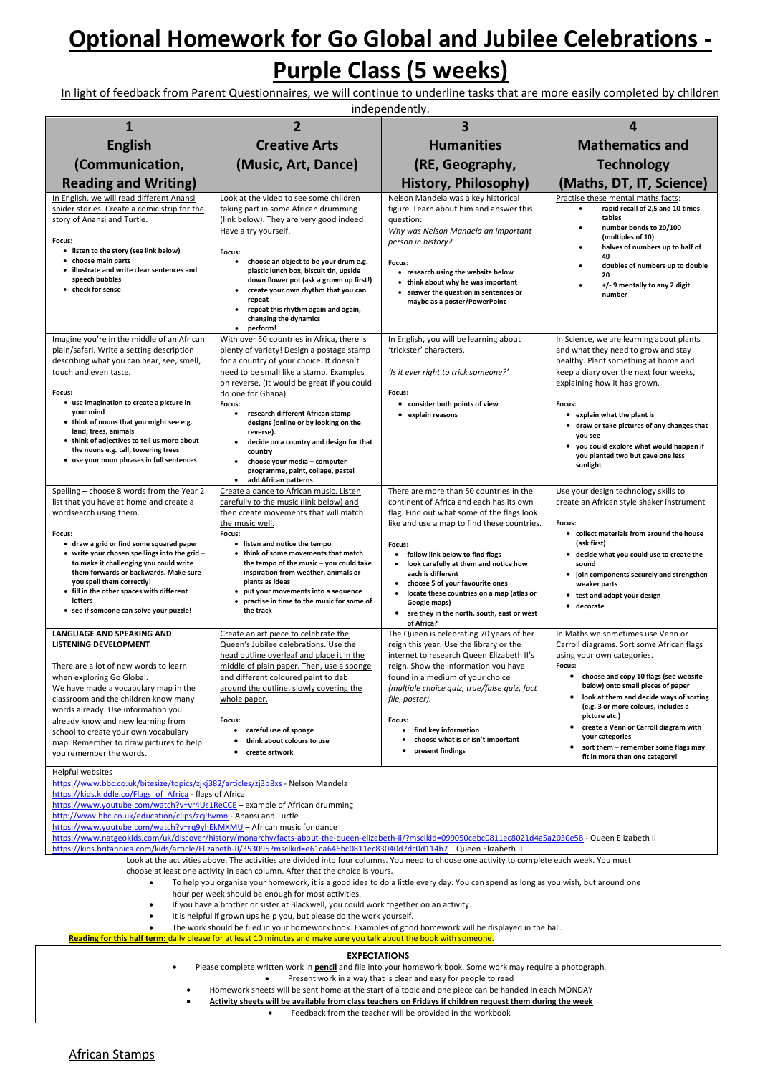## **Optional Homework for Go Global and Jubilee Celebrations - Purple Class (5 weeks)**

In light of feedback from Parent Questionnaires, we will continue to underline tasks that are more easily completed by children

| independently.                                                                                                                                                                                                                                                                                                                                                                                                                                                                                                                                                                                                                                                                                                                                                                                                                                                                                                                                                                                                                                                                                                                                                                                                                                                                                                                                                                                                                                                                                                                          |                                                                                                                                                                                                                                                                                                                                                                                                                                                                                                                                                                          |                                                                                                                                                                                                                                                                                                                                                                                                                                           |                                                                                                                                                                                                                                                                                                                                                                                                                                                  |
|-----------------------------------------------------------------------------------------------------------------------------------------------------------------------------------------------------------------------------------------------------------------------------------------------------------------------------------------------------------------------------------------------------------------------------------------------------------------------------------------------------------------------------------------------------------------------------------------------------------------------------------------------------------------------------------------------------------------------------------------------------------------------------------------------------------------------------------------------------------------------------------------------------------------------------------------------------------------------------------------------------------------------------------------------------------------------------------------------------------------------------------------------------------------------------------------------------------------------------------------------------------------------------------------------------------------------------------------------------------------------------------------------------------------------------------------------------------------------------------------------------------------------------------------|--------------------------------------------------------------------------------------------------------------------------------------------------------------------------------------------------------------------------------------------------------------------------------------------------------------------------------------------------------------------------------------------------------------------------------------------------------------------------------------------------------------------------------------------------------------------------|-------------------------------------------------------------------------------------------------------------------------------------------------------------------------------------------------------------------------------------------------------------------------------------------------------------------------------------------------------------------------------------------------------------------------------------------|--------------------------------------------------------------------------------------------------------------------------------------------------------------------------------------------------------------------------------------------------------------------------------------------------------------------------------------------------------------------------------------------------------------------------------------------------|
| $\mathbf{1}$                                                                                                                                                                                                                                                                                                                                                                                                                                                                                                                                                                                                                                                                                                                                                                                                                                                                                                                                                                                                                                                                                                                                                                                                                                                                                                                                                                                                                                                                                                                            | $\overline{2}$                                                                                                                                                                                                                                                                                                                                                                                                                                                                                                                                                           | 3                                                                                                                                                                                                                                                                                                                                                                                                                                         | 4                                                                                                                                                                                                                                                                                                                                                                                                                                                |
| <b>English</b>                                                                                                                                                                                                                                                                                                                                                                                                                                                                                                                                                                                                                                                                                                                                                                                                                                                                                                                                                                                                                                                                                                                                                                                                                                                                                                                                                                                                                                                                                                                          | <b>Creative Arts</b>                                                                                                                                                                                                                                                                                                                                                                                                                                                                                                                                                     | <b>Humanities</b>                                                                                                                                                                                                                                                                                                                                                                                                                         | <b>Mathematics and</b>                                                                                                                                                                                                                                                                                                                                                                                                                           |
| (Communication,                                                                                                                                                                                                                                                                                                                                                                                                                                                                                                                                                                                                                                                                                                                                                                                                                                                                                                                                                                                                                                                                                                                                                                                                                                                                                                                                                                                                                                                                                                                         | (Music, Art, Dance)                                                                                                                                                                                                                                                                                                                                                                                                                                                                                                                                                      | (RE, Geography,                                                                                                                                                                                                                                                                                                                                                                                                                           | <b>Technology</b>                                                                                                                                                                                                                                                                                                                                                                                                                                |
| <b>Reading and Writing)</b>                                                                                                                                                                                                                                                                                                                                                                                                                                                                                                                                                                                                                                                                                                                                                                                                                                                                                                                                                                                                                                                                                                                                                                                                                                                                                                                                                                                                                                                                                                             |                                                                                                                                                                                                                                                                                                                                                                                                                                                                                                                                                                          | History, Philosophy)                                                                                                                                                                                                                                                                                                                                                                                                                      | (Maths, DT, IT, Science)                                                                                                                                                                                                                                                                                                                                                                                                                         |
| In English, we will read different Anansi<br>spider stories. Create a comic strip for the<br>story of Anansi and Turtle.<br>Focus:<br>• listen to the story (see link below)<br>• choose main parts<br>illustrate and write clear sentences and<br>٠<br>speech bubbles<br>• check for sense                                                                                                                                                                                                                                                                                                                                                                                                                                                                                                                                                                                                                                                                                                                                                                                                                                                                                                                                                                                                                                                                                                                                                                                                                                             | Look at the video to see some children<br>taking part in some African drumming<br>(link below). They are very good indeed!<br>Have a try yourself.<br>Focus:<br>choose an object to be your drum e.g.<br>plastic lunch box, biscuit tin, upside<br>down flower pot (ask a grown up first!)<br>create your own rhythm that you can<br>٠<br>repeat<br>repeat this rhythm again and again,<br>٠<br>changing the dynamics                                                                                                                                                    | Nelson Mandela was a key historical<br>figure. Learn about him and answer this<br>question:<br>Why was Nelson Mandela an important<br>person in history?<br>Focus:<br>• research using the website below<br>• think about why he was important<br>• answer the question in sentences or<br>maybe as a poster/PowerPoint                                                                                                                   | Practise these mental maths facts:<br>rapid recall of 2,5 and 10 times<br>٠<br>tables<br>number bonds to 20/100<br>(multiples of 10)<br>halves of numbers up to half of<br>٠<br>40<br>doubles of numbers up to double<br>$\bullet$<br>20<br>+/- 9 mentally to any 2 digit<br>number                                                                                                                                                              |
| Imagine you're in the middle of an African<br>plain/safari. Write a setting description<br>describing what you can hear, see, smell,<br>touch and even taste.<br>Focus:<br>• use imagination to create a picture in<br>your mind<br>• think of nouns that you might see e.g.<br>land, trees, animals<br>• think of adjectives to tell us more about<br>the nouns e.g. tall, towering trees<br>• use your noun phrases in full sentences                                                                                                                                                                                                                                                                                                                                                                                                                                                                                                                                                                                                                                                                                                                                                                                                                                                                                                                                                                                                                                                                                                 | perform!<br>$\bullet$<br>With over 50 countries in Africa, there is<br>plenty of variety! Design a postage stamp<br>for a country of your choice. It doesn't<br>need to be small like a stamp. Examples<br>on reverse. (It would be great if you could<br>do one for Ghana)<br>Focus:<br>research different African stamp<br>$\bullet$<br>designs (online or by looking on the<br>reverse).<br>decide on a country and design for that<br>$\bullet$<br>country<br>choose your media - computer<br>programme, paint, collage, pastel<br>add African patterns<br>$\bullet$ | In English, you will be learning about<br>'trickster' characters.<br>'Is it ever right to trick someone?'<br>Focus:<br>consider both points of view<br>٠<br>explain reasons<br>٠                                                                                                                                                                                                                                                          | In Science, we are learning about plants<br>and what they need to grow and stay<br>healthy. Plant something at home and<br>keep a diary over the next four weeks,<br>explaining how it has grown.<br>Focus:<br>• explain what the plant is<br>• draw or take pictures of any changes that<br>you see<br>• you could explore what would happen if<br>you planted two but gave one less<br>sunlight                                                |
| Spelling - choose 8 words from the Year 2<br>list that you have at home and create a<br>wordsearch using them.<br>Focus:<br>• draw a grid or find some squared paper<br>• write your chosen spellings into the grid -<br>to make it challenging you could write<br>them forwards or backwards. Make sure<br>you spell them correctly!<br>• fill in the other spaces with different<br>letters<br>• see if someone can solve your puzzle!                                                                                                                                                                                                                                                                                                                                                                                                                                                                                                                                                                                                                                                                                                                                                                                                                                                                                                                                                                                                                                                                                                | Create a dance to African music. Listen<br>carefully to the music (link below) and<br>then create movements that will match<br>the music well.<br>Focus:<br>• listen and notice the tempo<br>• think of some movements that match<br>the tempo of the music - you could take<br>inspiration from weather, animals or<br>plants as ideas<br>• put your movements into a sequence<br>practise in time to the music for some of<br>the track                                                                                                                                | There are more than 50 countries in the<br>continent of Africa and each has its own<br>flag. Find out what some of the flags look<br>like and use a map to find these countries.<br>Focus:<br>follow link below to find flags<br>look carefully at them and notice how<br>each is different<br>choose 5 of your favourite ones<br>locate these countries on a map (atlas or<br>Google maps)<br>are they in the north, south, east or west | Use your design technology skills to<br>create an African style shaker instrument<br>Focus:<br>• collect materials from around the house<br>(ask first)<br>• decide what you could use to create the<br>sound<br>• join components securely and strengthen<br>weaker parts<br>• test and adapt your design<br>decorate                                                                                                                           |
| <b>LANGUAGE AND SPEAKING AND</b><br><b>LISTENING DEVELOPMENT</b><br>There are a lot of new words to learn<br>when exploring Go Global.<br>We have made a vocabulary map in the<br>classroom and the children know many<br>words already. Use information you<br>already know and new learning from<br>school to create your own vocabulary<br>map. Remember to draw pictures to help<br>you remember the words.                                                                                                                                                                                                                                                                                                                                                                                                                                                                                                                                                                                                                                                                                                                                                                                                                                                                                                                                                                                                                                                                                                                         | Create an art piece to celebrate the<br>Queen's Jubilee celebrations. Use the<br>head outline overleaf and place it in the<br>middle of plain paper. Then, use a sponge<br>and different coloured paint to dab<br>around the outline, slowly covering the<br>whole paper.<br>Focus:<br>careful use of sponge<br>think about colours to use<br>create artwork<br>٠                                                                                                                                                                                                        | of Africa?<br>The Queen is celebrating 70 years of her<br>reign this year. Use the library or the<br>internet to research Queen Elizabeth II's<br>reign. Show the information you have<br>found in a medium of your choice<br>(multiple choice quiz, true/false quiz, fact<br>file, poster).<br>Focus:<br>find key information<br>choose what is or isn't important<br>present findings                                                   | In Maths we sometimes use Venn or<br>Carroll diagrams. Sort some African flags<br>using your own categories.<br>Focus:<br>choose and copy 10 flags (see website<br>below) onto small pieces of paper<br>• look at them and decide ways of sorting<br>(e.g. 3 or more colours, includes a<br>picture etc.)<br>• create a Venn or Carroll diagram with<br>your categories<br>sort them - remember some flags may<br>fit in more than one category! |
| Helpful websites<br>https://www.bbc.co.uk/bitesize/topics/ziki382/articles/zi3p8xs - Nelson Mandela<br>https://kids.kiddle.co/Flags_of_Africa - flags of Africa<br>https://www.youtube.com/watch?v=vr4Us1ReCCE - example of African drumming<br>http://www.bbc.co.uk/education/clips/zcj9wmn - Anansi and Turtle<br>https://www.youtube.com/watch?v=rq9yhEkMXMU - African music for dance<br>https://www.natgeokids.com/uk/discover/history/monarchy/facts-about-the-queen-elizabeth-ii/?msclkid=099050cebc0811ec8021d4a5a2030e58 - Queen Elizabeth II<br>https://kids.britannica.com/kids/article/Elizabeth-II/353095?msclkid=e61ca646bc0811ec83040d7dc0d114b7 - Queen Elizabeth II<br>Look at the activities above. The activities are divided into four columns. You need to choose one activity to complete each week. You must<br>choose at least one activity in each column. After that the choice is yours.<br>To help you organise your homework, it is a good idea to do a little every day. You can spend as long as you wish, but around one<br>hour per week should be enough for most activities.<br>If you have a brother or sister at Blackwell, you could work together on an activity.<br>$\bullet$<br>It is helpful if grown ups help you, but please do the work yourself.<br>٠<br>The work should be filed in your homework book. Examples of good homework will be displayed in the hall.<br>Reading for this half term: daily please for at least 10 minutes and make sure you talk about the book with someone. |                                                                                                                                                                                                                                                                                                                                                                                                                                                                                                                                                                          |                                                                                                                                                                                                                                                                                                                                                                                                                                           |                                                                                                                                                                                                                                                                                                                                                                                                                                                  |
| <b>EXPECTATIONS</b><br>Please complete written work in <b>pencil</b> and file into your homework book. Some work may require a photograph.<br>٠<br>Present work in a way that is clear and easy for people to read<br>Homework sheets will be sent home at the start of a topic and one piece can be handed in each MONDAY<br>Activity sheets will be available from class teachers on Fridays if children request them during the week                                                                                                                                                                                                                                                                                                                                                                                                                                                                                                                                                                                                                                                                                                                                                                                                                                                                                                                                                                                                                                                                                                 |                                                                                                                                                                                                                                                                                                                                                                                                                                                                                                                                                                          |                                                                                                                                                                                                                                                                                                                                                                                                                                           |                                                                                                                                                                                                                                                                                                                                                                                                                                                  |

Feedback from the teacher will be provided in the workbook